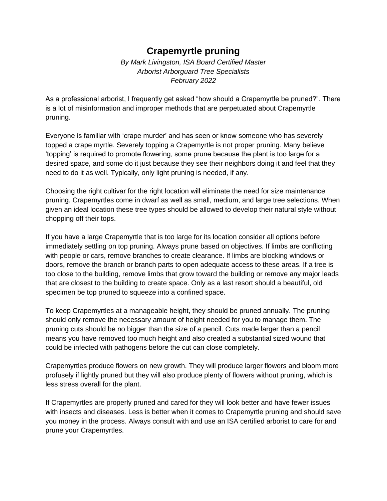## **Crapemyrtle pruning**

*By Mark Livingston, ISA Board Certified Master Arborist Arborguard Tree Specialists February 2022*

As a professional arborist, I frequently get asked "how should a Crapemyrtle be pruned?". There is a lot of misinformation and improper methods that are perpetuated about Crapemyrtle pruning.

Everyone is familiar with 'crape murder' and has seen or know someone who has severely topped a crape myrtle. Severely topping a Crapemyrtle is not proper pruning. Many believe 'topping' is required to promote flowering, some prune because the plant is too large for a desired space, and some do it just because they see their neighbors doing it and feel that they need to do it as well. Typically, only light pruning is needed, if any.

Choosing the right cultivar for the right location will eliminate the need for size maintenance pruning. Crapemyrtles come in dwarf as well as small, medium, and large tree selections. When given an ideal location these tree types should be allowed to develop their natural style without chopping off their tops.

If you have a large Crapemyrtle that is too large for its location consider all options before immediately settling on top pruning. Always prune based on objectives. If limbs are conflicting with people or cars, remove branches to create clearance. If limbs are blocking windows or doors, remove the branch or branch parts to open adequate access to these areas. If a tree is too close to the building, remove limbs that grow toward the building or remove any major leads that are closest to the building to create space. Only as a last resort should a beautiful, old specimen be top pruned to squeeze into a confined space.

To keep Crapemyrtles at a manageable height, they should be pruned annually. The pruning should only remove the necessary amount of height needed for you to manage them. The pruning cuts should be no bigger than the size of a pencil. Cuts made larger than a pencil means you have removed too much height and also created a substantial sized wound that could be infected with pathogens before the cut can close completely.

Crapemyrtles produce flowers on new growth. They will produce larger flowers and bloom more profusely if lightly pruned but they will also produce plenty of flowers without pruning, which is less stress overall for the plant.

If Crapemyrtles are properly pruned and cared for they will look better and have fewer issues with insects and diseases. Less is better when it comes to Crapemyrtle pruning and should save you money in the process. Always consult with and use an ISA certified arborist to care for and prune your Crapemyrtles.